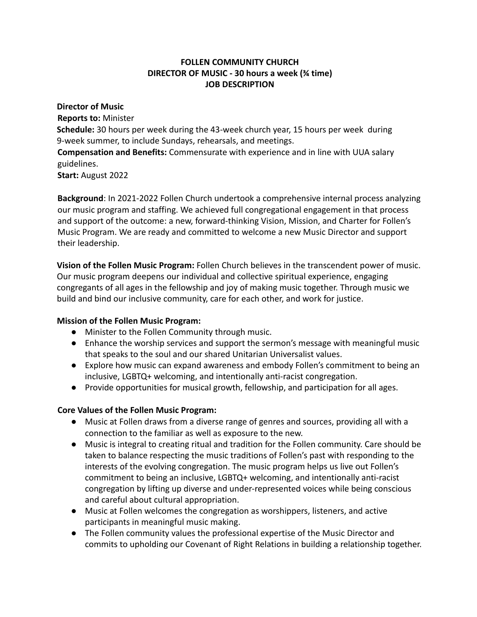## **FOLLEN COMMUNITY CHURCH DIRECTOR OF MUSIC - 30 hours a week (¾ time) JOB DESCRIPTION**

#### **Director of Music**

**Reports to:** Minister **Schedule:** 30 hours per week during the 43-week church year, 15 hours per week during 9-week summer, to include Sundays, rehearsals, and meetings. **Compensation and Benefits:** Commensurate with experience and in line with UUA salary guidelines.

**Start:** August 2022

**Background**: In 2021-2022 Follen Church undertook a comprehensive internal process analyzing our music program and staffing. We achieved full congregational engagement in that process and support of the outcome: a new, forward-thinking Vision, Mission, and Charter for Follen's Music Program. We are ready and committed to welcome a new Music Director and support their leadership.

**Vision of the Follen Music Program:** Follen Church believes in the transcendent power of music. Our music program deepens our individual and collective spiritual experience, engaging congregants of all ages in the fellowship and joy of making music together. Through music we build and bind our inclusive community, care for each other, and work for justice.

## **Mission of the Follen Music Program:**

- Minister to the Follen Community through music.
- Enhance the worship services and support the sermon's message with meaningful music that speaks to the soul and our shared Unitarian Universalist values.
- Explore how music can expand awareness and embody Follen's commitment to being an inclusive, LGBTQ+ welcoming, and intentionally anti-racist congregation.
- Provide opportunities for musical growth, fellowship, and participation for all ages.

# **Core Values of the Follen Music Program:**

- Music at Follen draws from a diverse range of genres and sources, providing all with a connection to the familiar as well as exposure to the new.
- Music is integral to creating ritual and tradition for the Follen community. Care should be taken to balance respecting the music traditions of Follen's past with responding to the interests of the evolving congregation. The music program helps us live out Follen's commitment to being an inclusive, LGBTQ+ welcoming, and intentionally anti-racist congregation by lifting up diverse and under-represented voices while being conscious and careful about cultural appropriation.
- Music at Follen welcomes the congregation as worshippers, listeners, and active participants in meaningful music making.
- The Follen community values the professional expertise of the Music Director and commits to upholding our Covenant of Right Relations in building a relationship together.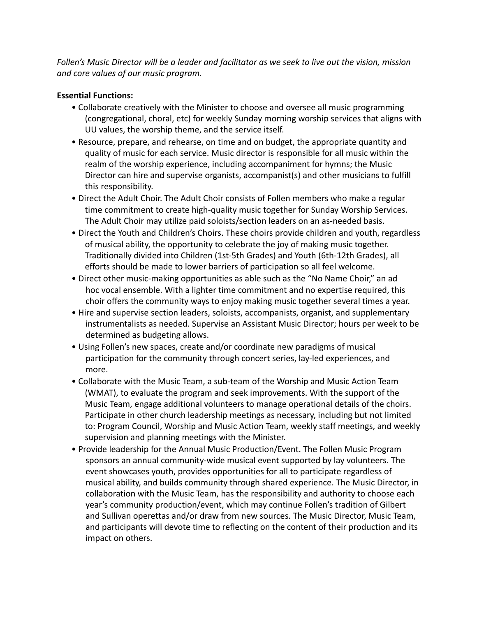*Follen's Music Director will be a leader and facilitator as we seek to live out the vision, mission and core values of our music program.*

## **Essential Functions:**

- Collaborate creatively with the Minister to choose and oversee all music programming (congregational, choral, etc) for weekly Sunday morning worship services that aligns with UU values, the worship theme, and the service itself.
- Resource, prepare, and rehearse, on time and on budget, the appropriate quantity and quality of music for each service. Music director is responsible for all music within the realm of the worship experience, including accompaniment for hymns; the Music Director can hire and supervise organists, accompanist(s) and other musicians to fulfill this responsibility.
- Direct the Adult Choir. The Adult Choir consists of Follen members who make a regular time commitment to create high-quality music together for Sunday Worship Services. The Adult Choir may utilize paid soloists/section leaders on an as-needed basis.
- Direct the Youth and Children's Choirs. These choirs provide children and youth, regardless of musical ability, the opportunity to celebrate the joy of making music together. Traditionally divided into Children (1st-5th Grades) and Youth (6th-12th Grades), all efforts should be made to lower barriers of participation so all feel welcome.
- Direct other music-making opportunities as able such as the "No Name Choir," an ad hoc vocal ensemble. With a lighter time commitment and no expertise required, this choir offers the community ways to enjoy making music together several times a year.
- Hire and supervise section leaders, soloists, accompanists, organist, and supplementary instrumentalists as needed. Supervise an Assistant Music Director; hours per week to be determined as budgeting allows.
- Using Follen's new spaces, create and/or coordinate new paradigms of musical participation for the community through concert series, lay-led experiences, and more.
- Collaborate with the Music Team, a sub-team of the Worship and Music Action Team (WMAT), to evaluate the program and seek improvements. With the support of the Music Team, engage additional volunteers to manage operational details of the choirs. Participate in other church leadership meetings as necessary, including but not limited to: Program Council, Worship and Music Action Team, weekly staff meetings, and weekly supervision and planning meetings with the Minister.
- Provide leadership for the Annual Music Production/Event. The Follen Music Program sponsors an annual community-wide musical event supported by lay volunteers. The event showcases youth, provides opportunities for all to participate regardless of musical ability, and builds community through shared experience. The Music Director, in collaboration with the Music Team, has the responsibility and authority to choose each year's community production/event, which may continue Follen's tradition of Gilbert and Sullivan operettas and/or draw from new sources. The Music Director, Music Team, and participants will devote time to reflecting on the content of their production and its impact on others.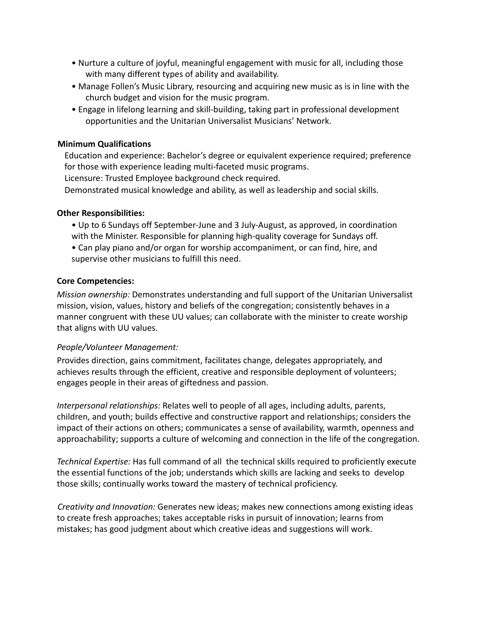- Nurture a culture of joyful, meaningful engagement with music for all, including those with many different types of ability and availability.
- Manage Follen's Music Library, resourcing and acquiring new music as is in line with the church budget and vision for the music program.
- Engage in lifelong learning and skill-building, taking part in professional development opportunities and the Unitarian Universalist Musicians' Network.

### **Minimum Qualifications**

Education and experience: Bachelor's degree or equivalent experience required; preference for those with experience leading multi-faceted music programs.

Licensure: Trusted Employee background check required.

Demonstrated musical knowledge and ability, as well as leadership and social skills.

#### **Other Responsibilities:**

- Up to 6 Sundays off September-June and 3 July-August, as approved, in coordination with the Minister. Responsible for planning high-quality coverage for Sundays off.
- Can play piano and/or organ for worship accompaniment, or can find, hire, and supervise other musicians to fulfill this need.

### **Core Competencies:**

*Mission ownership:* Demonstrates understanding and full support of the Unitarian Universalist mission, vision, values, history and beliefs of the congregation; consistently behaves in a manner congruent with these UU values; can collaborate with the minister to create worship that aligns with UU values.

#### *People/Volunteer Management:*

Provides direction, gains commitment, facilitates change, delegates appropriately, and achieves results through the efficient, creative and responsible deployment of volunteers; engages people in their areas of giftedness and passion.

*Interpersonal relationships:* Relates well to people of all ages, including adults, parents, children, and youth; builds effective and constructive rapport and relationships; considers the impact of their actions on others; communicates a sense of availability, warmth, openness and approachability; supports a culture of welcoming and connection in the life of the congregation.

*Technical Expertise:* Has full command of all the technical skills required to proficiently execute the essential functions of the job; understands which skills are lacking and seeks to develop those skills; continually works toward the mastery of technical proficiency.

*Creativity and Innovation:* Generates new ideas; makes new connections among existing ideas to create fresh approaches; takes acceptable risks in pursuit of innovation; learns from mistakes; has good judgment about which creative ideas and suggestions will work.